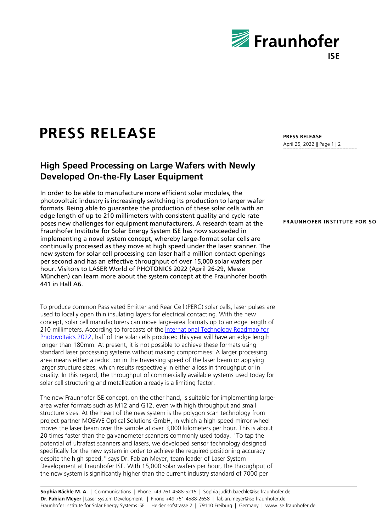

# **PRESS RELEASE**

## **High Speed Processing on Large Wafers with Newly Developed On-the-Fly Laser Equipment**

In order to be able to manufacture more efficient solar modules, the photovoltaic industry is increasingly switching its production to larger wafer formats. Being able to guarantee the production of these solar cells with an edge length of up to 210 millimeters with consistent quality and cycle rate poses new challenges for equipment manufacturers. A research team at the Fraunhofer Institute for Solar Energy System ISE has now succeeded in implementing a novel system concept, whereby large-format solar cells are continually processed as they move at high speed under the laser scanner. The new system for solar cell processing can laser half a million contact openings per second and has an effective throughput of over 15,000 solar wafers per hour. Visitors to LASER World of PHOTONICS 2022 (April 26-29, Messe München) can learn more about the system concept at the Fraunhofer booth 441 in Hall A6.

To produce common Passivated Emitter and Rear Cell (PERC) solar cells, laser pulses are used to locally open thin insulating layers for electrical contacting. With the new concept, solar cell manufacturers can move large-area formats up to an edge length of 210 millimeters. According to forecasts of the [International Technology Roadmap for](https://www.vdma.org/international-technology-roadmap-photovoltaic)  [Photovoltaics 2022,](https://www.vdma.org/international-technology-roadmap-photovoltaic) half of the solar cells produced this year will have an edge length longer than 180mm. At present, it is not possible to achieve these formats using standard laser processing systems without making compromises: A larger processing area means either a reduction in the traversing speed of the laser beam or applying larger structure sizes, which results respectively in either a loss in throughput or in quality. In this regard, the throughput of commercially available systems used today for solar cell structuring and metallization already is a limiting factor.

The new Fraunhofer ISE concept, on the other hand, is suitable for implementing largearea wafer formats such as M12 and G12, even with high throughput and small structure sizes. At the heart of the new system is the polygon scan technology from project partner MOEWE Optical Solutions GmbH, in which a high-speed mirror wheel moves the laser beam over the sample at over 3,000 kilometers per hour. This is about 20 times faster than the galvanometer scanners commonly used today. "To tap the potential of ultrafast scanners and lasers, we developed sensor technology designed specifically for the new system in order to achieve the required positioning accuracy despite the high speed," says Dr. Fabian Meyer, team leader of Laser System Development at Fraunhofer ISE. With 15,000 solar wafers per hour, the throughput of the new system is significantly higher than the current industry standard of 7000 per

### **PRESS RELEASE** April 25, 2022 || Page 1 | 2

### **FRAUNHOFER INSTITUTE FOR SO**